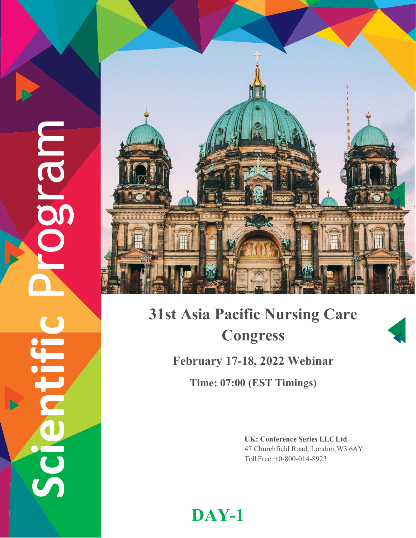Caran<br>Com E CIO



## 31st Asia Pacific Nursing Care Congress February 17-18, 2022 Webinar

Time: 07:00 (EST Timings)

UK: Conference Series LLC Ltd 47 Churchfield Road, London, W3 6AY Toll Free: +0-800-014-8923

DAY-1